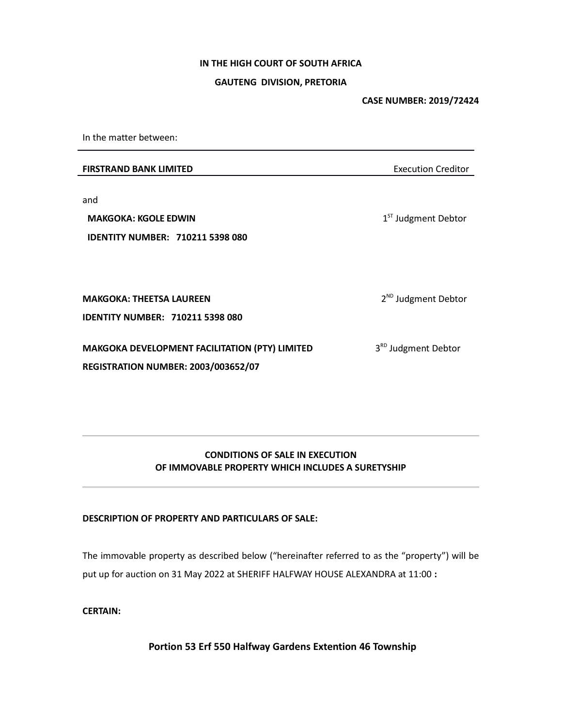# IN THE HIGH COURT OF SOUTH AFRICA

## GAUTENG DIVISION, PRETORIA

CASE NUMBER: 2019/72424

In the matter between:

**FIRSTRAND BANK LIMITED** Execution Creditor

and

MAKGOKA: KGOLE EDWIN IDENTITY NUMBER: 710211 5398 080 1<sup>ST</sup> Judgment Debtor

MAKGOKA: THEETSA LAUREEN

IDENTITY NUMBER: 710211 5398 080

MAKGOKA DEVELOPMENT FACILITATION (PTY) LIMITED REGISTRATION NUMBER: 2003/003652/07

3<sup>RD</sup> Judgment Debtor

2<sup>ND</sup> Judgment Debtor

# CONDITIONS OF SALE IN EXECUTION OF IMMOVABLE PROPERTY WHICH INCLUDES A SURETYSHIP

## DESCRIPTION OF PROPERTY AND PARTICULARS OF SALE:

The immovable property as described below ("hereinafter referred to as the "property") will be put up for auction on 31 May 2022 at SHERIFF HALFWAY HOUSE ALEXANDRA at 11:00 :

CERTAIN:

Portion 53 Erf 550 Halfway Gardens Extention 46 Township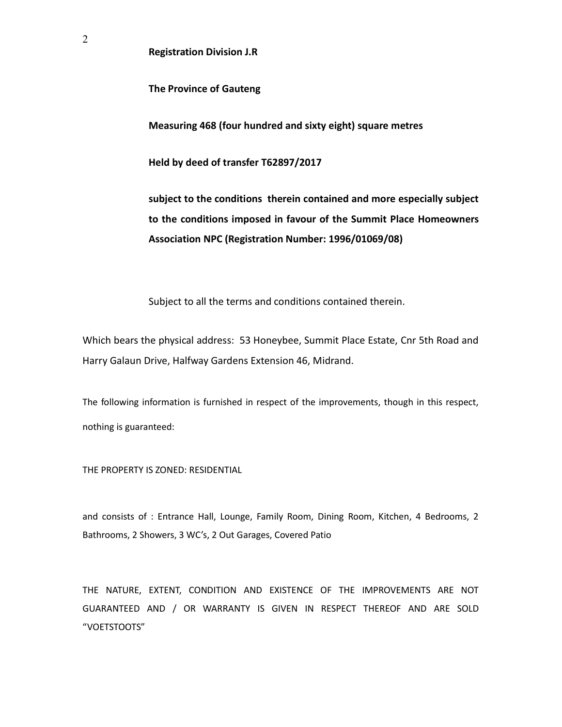Registration Division J.R

The Province of Gauteng

Measuring 468 (four hundred and sixty eight) square metres

Held by deed of transfer T62897/2017

subject to the conditions therein contained and more especially subject to the conditions imposed in favour of the Summit Place Homeowners Association NPC (Registration Number: 1996/01069/08)

Subject to all the terms and conditions contained therein.

Which bears the physical address: 53 Honeybee, Summit Place Estate, Cnr 5th Road and Harry Galaun Drive, Halfway Gardens Extension 46, Midrand.

The following information is furnished in respect of the improvements, though in this respect, nothing is guaranteed:

THE PROPERTY IS ZONED: RESIDENTIAL

and consists of : Entrance Hall, Lounge, Family Room, Dining Room, Kitchen, 4 Bedrooms, 2 Bathrooms, 2 Showers, 3 WC's, 2 Out Garages, Covered Patio

THE NATURE, EXTENT, CONDITION AND EXISTENCE OF THE IMPROVEMENTS ARE NOT GUARANTEED AND / OR WARRANTY IS GIVEN IN RESPECT THEREOF AND ARE SOLD "VOETSTOOTS"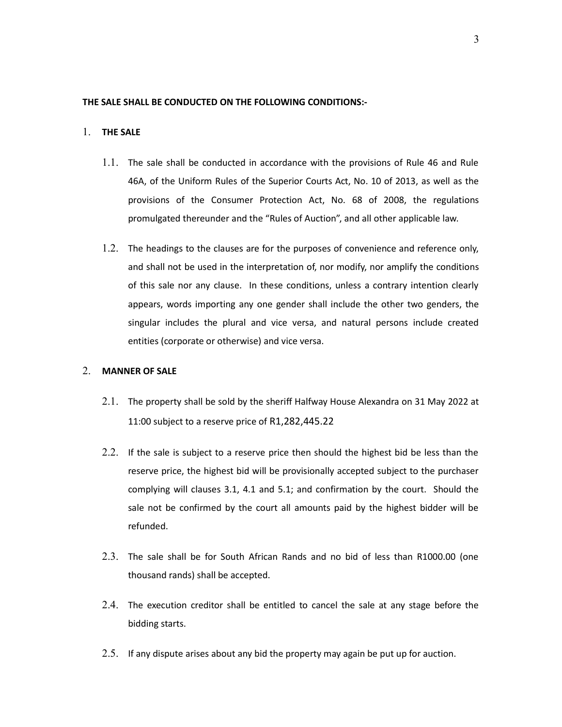#### THE SALE SHALL BE CONDUCTED ON THE FOLLOWING CONDITIONS:-

#### 1. THE SALE

- 1.1. The sale shall be conducted in accordance with the provisions of Rule 46 and Rule 46A, of the Uniform Rules of the Superior Courts Act, No. 10 of 2013, as well as the provisions of the Consumer Protection Act, No. 68 of 2008, the regulations promulgated thereunder and the "Rules of Auction", and all other applicable law.
- 1.2. The headings to the clauses are for the purposes of convenience and reference only, and shall not be used in the interpretation of, nor modify, nor amplify the conditions of this sale nor any clause. In these conditions, unless a contrary intention clearly appears, words importing any one gender shall include the other two genders, the singular includes the plural and vice versa, and natural persons include created entities (corporate or otherwise) and vice versa.

## 2. MANNER OF SALE

- 2.1. The property shall be sold by the sheriff Halfway House Alexandra on 31 May 2022 at 11:00 subject to a reserve price of R1,282,445.22
- 2.2. If the sale is subject to a reserve price then should the highest bid be less than the reserve price, the highest bid will be provisionally accepted subject to the purchaser complying will clauses 3.1, 4.1 and 5.1; and confirmation by the court. Should the sale not be confirmed by the court all amounts paid by the highest bidder will be refunded.
- 2.3. The sale shall be for South African Rands and no bid of less than R1000.00 (one thousand rands) shall be accepted.
- 2.4. The execution creditor shall be entitled to cancel the sale at any stage before the bidding starts.
- 2.5. If any dispute arises about any bid the property may again be put up for auction.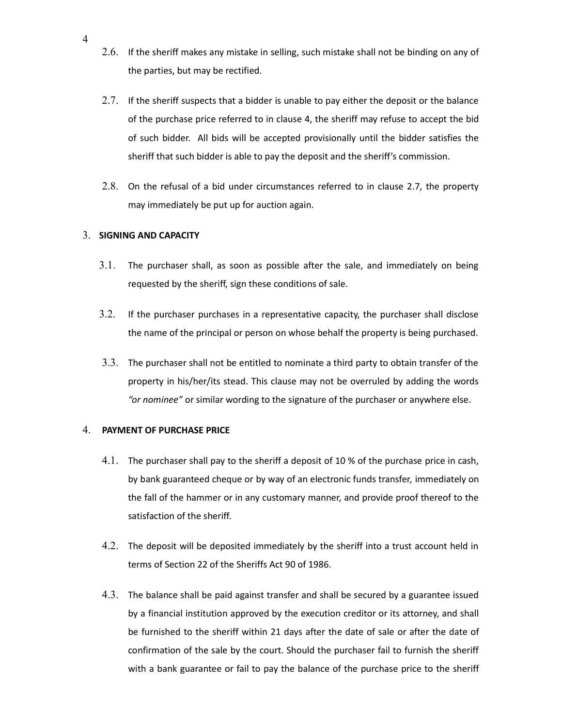- 2.6. If the sheriff makes any mistake in selling, such mistake shall not be binding on any of the parties, but may be rectified.
- 2.7. If the sheriff suspects that a bidder is unable to pay either the deposit or the balance of the purchase price referred to in clause 4, the sheriff may refuse to accept the bid of such bidder. All bids will be accepted provisionally until the bidder satisfies the sheriff that such bidder is able to pay the deposit and the sheriff's commission.
- 2.8. On the refusal of a bid under circumstances referred to in clause 2.7, the property may immediately be put up for auction again.

## 3. SIGNING AND CAPACITY

- 3.1. The purchaser shall, as soon as possible after the sale, and immediately on being requested by the sheriff, sign these conditions of sale.
- 3.2. If the purchaser purchases in a representative capacity, the purchaser shall disclose the name of the principal or person on whose behalf the property is being purchased.
- 3.3. The purchaser shall not be entitled to nominate a third party to obtain transfer of the property in his/her/its stead. This clause may not be overruled by adding the words "or nominee" or similar wording to the signature of the purchaser or anywhere else.

## 4. PAYMENT OF PURCHASE PRICE

- 4.1. The purchaser shall pay to the sheriff a deposit of 10 % of the purchase price in cash, by bank guaranteed cheque or by way of an electronic funds transfer, immediately on the fall of the hammer or in any customary manner, and provide proof thereof to the satisfaction of the sheriff.
- 4.2. The deposit will be deposited immediately by the sheriff into a trust account held in terms of Section 22 of the Sheriffs Act 90 of 1986.
- 4.3. The balance shall be paid against transfer and shall be secured by a guarantee issued by a financial institution approved by the execution creditor or its attorney, and shall be furnished to the sheriff within 21 days after the date of sale or after the date of confirmation of the sale by the court. Should the purchaser fail to furnish the sheriff with a bank guarantee or fail to pay the balance of the purchase price to the sheriff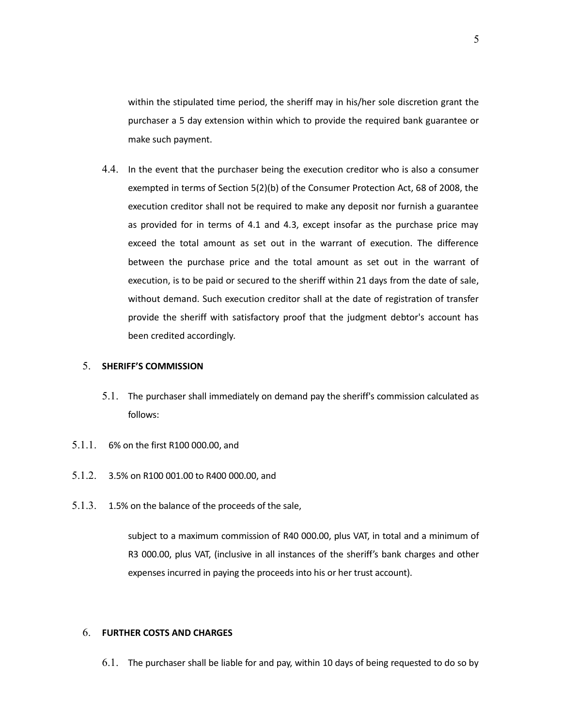within the stipulated time period, the sheriff may in his/her sole discretion grant the purchaser a 5 day extension within which to provide the required bank guarantee or make such payment.

4.4. In the event that the purchaser being the execution creditor who is also a consumer exempted in terms of Section 5(2)(b) of the Consumer Protection Act, 68 of 2008, the execution creditor shall not be required to make any deposit nor furnish a guarantee as provided for in terms of 4.1 and 4.3, except insofar as the purchase price may exceed the total amount as set out in the warrant of execution. The difference between the purchase price and the total amount as set out in the warrant of execution, is to be paid or secured to the sheriff within 21 days from the date of sale, without demand. Such execution creditor shall at the date of registration of transfer provide the sheriff with satisfactory proof that the judgment debtor's account has been credited accordingly.

#### 5. SHERIFF'S COMMISSION

- 5.1. The purchaser shall immediately on demand pay the sheriff's commission calculated as follows:
- 5.1.1. 6% on the first R100 000.00, and
- 5.1.2. 3.5% on R100 001.00 to R400 000.00, and
- 5.1.3. 1.5% on the balance of the proceeds of the sale,

subject to a maximum commission of R40 000.00, plus VAT, in total and a minimum of R3 000.00, plus VAT, (inclusive in all instances of the sheriff's bank charges and other expenses incurred in paying the proceeds into his or her trust account).

#### 6. FURTHER COSTS AND CHARGES

6.1. The purchaser shall be liable for and pay, within 10 days of being requested to do so by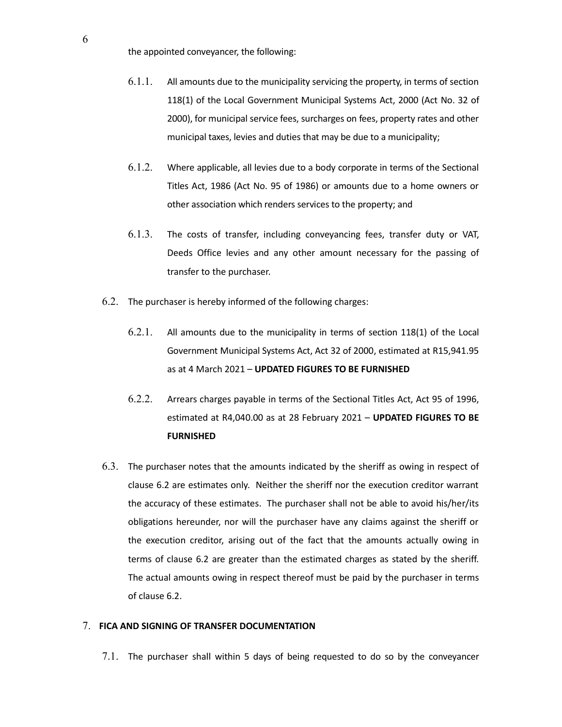the appointed conveyancer, the following:

- 6.1.1. All amounts due to the municipality servicing the property, in terms of section 118(1) of the Local Government Municipal Systems Act, 2000 (Act No. 32 of 2000), for municipal service fees, surcharges on fees, property rates and other municipal taxes, levies and duties that may be due to a municipality;
- 6.1.2. Where applicable, all levies due to a body corporate in terms of the Sectional Titles Act, 1986 (Act No. 95 of 1986) or amounts due to a home owners or other association which renders services to the property; and
- 6.1.3. The costs of transfer, including conveyancing fees, transfer duty or VAT, Deeds Office levies and any other amount necessary for the passing of transfer to the purchaser.
- 6.2. The purchaser is hereby informed of the following charges:
	- 6.2.1. All amounts due to the municipality in terms of section 118(1) of the Local Government Municipal Systems Act, Act 32 of 2000, estimated at R15,941.95 as at 4 March 2021 – UPDATED FIGURES TO BE FURNISHED
	- 6.2.2. Arrears charges payable in terms of the Sectional Titles Act, Act 95 of 1996, estimated at R4,040.00 as at 28 February 2021 - UPDATED FIGURES TO BE FURNISHED
- 6.3. The purchaser notes that the amounts indicated by the sheriff as owing in respect of clause 6.2 are estimates only. Neither the sheriff nor the execution creditor warrant the accuracy of these estimates. The purchaser shall not be able to avoid his/her/its obligations hereunder, nor will the purchaser have any claims against the sheriff or the execution creditor, arising out of the fact that the amounts actually owing in terms of clause 6.2 are greater than the estimated charges as stated by the sheriff. The actual amounts owing in respect thereof must be paid by the purchaser in terms of clause 6.2.

## 7. FICA AND SIGNING OF TRANSFER DOCUMENTATION

7.1. The purchaser shall within 5 days of being requested to do so by the conveyancer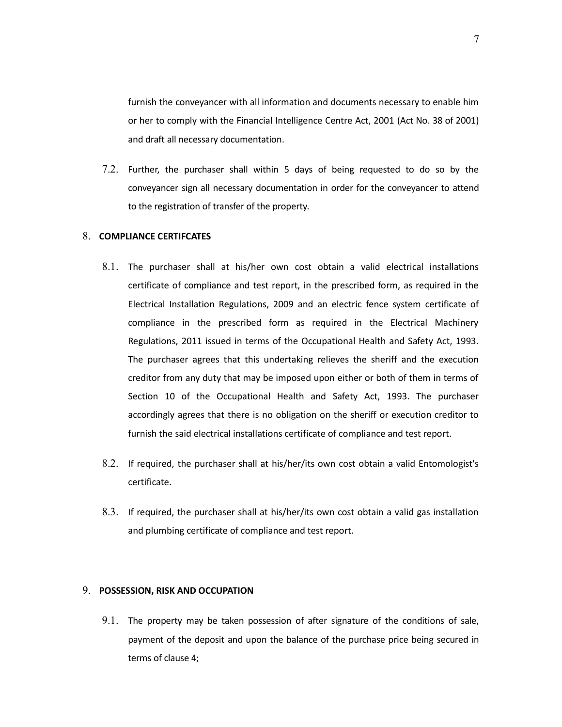furnish the conveyancer with all information and documents necessary to enable him or her to comply with the Financial Intelligence Centre Act, 2001 (Act No. 38 of 2001) and draft all necessary documentation.

7.2. Further, the purchaser shall within 5 days of being requested to do so by the conveyancer sign all necessary documentation in order for the conveyancer to attend to the registration of transfer of the property.

#### 8. COMPLIANCE CERTIFCATES

- 8.1. The purchaser shall at his/her own cost obtain a valid electrical installations certificate of compliance and test report, in the prescribed form, as required in the Electrical Installation Regulations, 2009 and an electric fence system certificate of compliance in the prescribed form as required in the Electrical Machinery Regulations, 2011 issued in terms of the Occupational Health and Safety Act, 1993. The purchaser agrees that this undertaking relieves the sheriff and the execution creditor from any duty that may be imposed upon either or both of them in terms of Section 10 of the Occupational Health and Safety Act, 1993. The purchaser accordingly agrees that there is no obligation on the sheriff or execution creditor to furnish the said electrical installations certificate of compliance and test report.
- 8.2. If required, the purchaser shall at his/her/its own cost obtain a valid Entomologist's certificate.
- 8.3. If required, the purchaser shall at his/her/its own cost obtain a valid gas installation and plumbing certificate of compliance and test report.

## 9. POSSESSION, RISK AND OCCUPATION

9.1. The property may be taken possession of after signature of the conditions of sale, payment of the deposit and upon the balance of the purchase price being secured in terms of clause 4;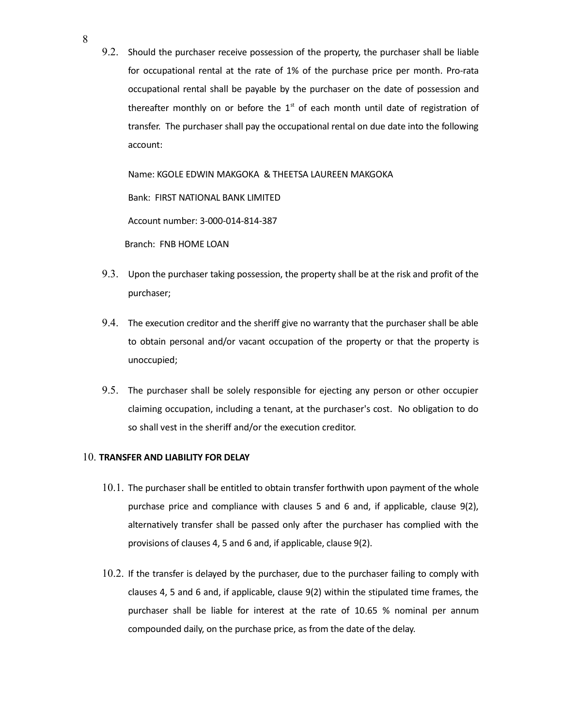9.2. Should the purchaser receive possession of the property, the purchaser shall be liable for occupational rental at the rate of 1% of the purchase price per month. Pro-rata occupational rental shall be payable by the purchaser on the date of possession and thereafter monthly on or before the  $1<sup>st</sup>$  of each month until date of registration of transfer. The purchaser shall pay the occupational rental on due date into the following account:

Name: KGOLE EDWIN MAKGOKA & THEETSA LAUREEN MAKGOKA Bank: FIRST NATIONAL BANK LIMITED Account number: 3-000-014-814-387 Branch: FNB HOME LOAN

- 9.3. Upon the purchaser taking possession, the property shall be at the risk and profit of the purchaser;
- 9.4. The execution creditor and the sheriff give no warranty that the purchaser shall be able to obtain personal and/or vacant occupation of the property or that the property is unoccupied;
- 9.5. The purchaser shall be solely responsible for ejecting any person or other occupier claiming occupation, including a tenant, at the purchaser's cost. No obligation to do so shall vest in the sheriff and/or the execution creditor.

#### 10. TRANSFER AND LIABILITY FOR DELAY

- 10.1. The purchaser shall be entitled to obtain transfer forthwith upon payment of the whole purchase price and compliance with clauses 5 and 6 and, if applicable, clause 9(2), alternatively transfer shall be passed only after the purchaser has complied with the provisions of clauses 4, 5 and 6 and, if applicable, clause 9(2).
- 10.2. If the transfer is delayed by the purchaser, due to the purchaser failing to comply with clauses 4, 5 and 6 and, if applicable, clause 9(2) within the stipulated time frames, the purchaser shall be liable for interest at the rate of 10.65 % nominal per annum compounded daily, on the purchase price, as from the date of the delay.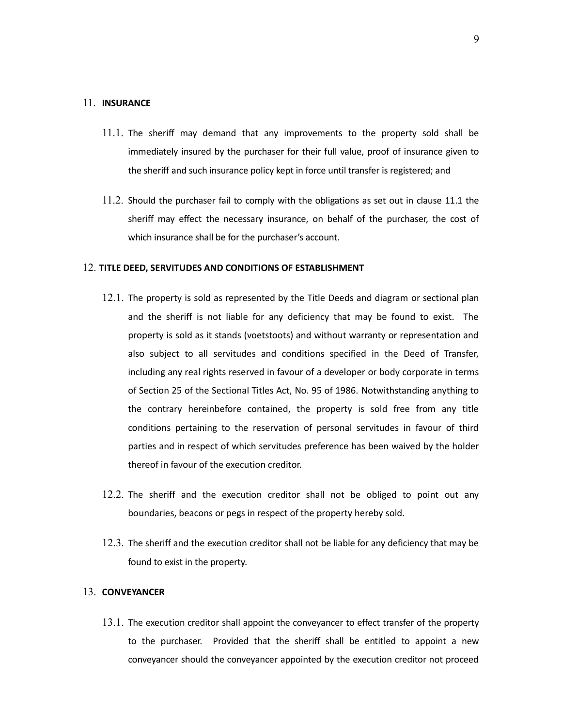#### 11. INSURANCE

- 11.1. The sheriff may demand that any improvements to the property sold shall be immediately insured by the purchaser for their full value, proof of insurance given to the sheriff and such insurance policy kept in force until transfer is registered; and
- 11.2. Should the purchaser fail to comply with the obligations as set out in clause 11.1 the sheriff may effect the necessary insurance, on behalf of the purchaser, the cost of which insurance shall be for the purchaser's account.

#### 12. TITLE DEED, SERVITUDES AND CONDITIONS OF ESTABLISHMENT

- 12.1. The property is sold as represented by the Title Deeds and diagram or sectional plan and the sheriff is not liable for any deficiency that may be found to exist. The property is sold as it stands (voetstoots) and without warranty or representation and also subject to all servitudes and conditions specified in the Deed of Transfer, including any real rights reserved in favour of a developer or body corporate in terms of Section 25 of the Sectional Titles Act, No. 95 of 1986. Notwithstanding anything to the contrary hereinbefore contained, the property is sold free from any title conditions pertaining to the reservation of personal servitudes in favour of third parties and in respect of which servitudes preference has been waived by the holder thereof in favour of the execution creditor.
- 12.2. The sheriff and the execution creditor shall not be obliged to point out any boundaries, beacons or pegs in respect of the property hereby sold.
- 12.3. The sheriff and the execution creditor shall not be liable for any deficiency that may be found to exist in the property.

## 13. CONVEYANCER

13.1. The execution creditor shall appoint the conveyancer to effect transfer of the property to the purchaser. Provided that the sheriff shall be entitled to appoint a new conveyancer should the conveyancer appointed by the execution creditor not proceed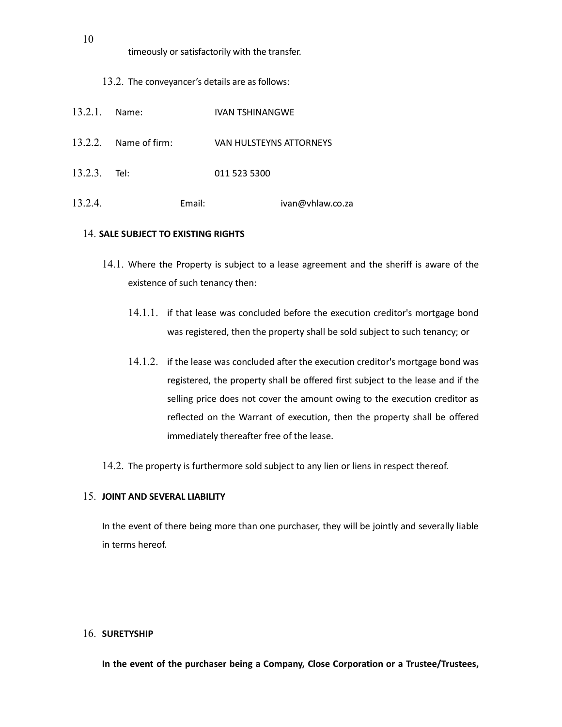timeously or satisfactorily with the transfer.

13.2. The conveyancer's details are as follows:

| 13.2.1. Name: |                       |        | <b>IVAN TSHINANGWE</b>  |  |  |  |  |
|---------------|-----------------------|--------|-------------------------|--|--|--|--|
|               | 13.2.2. Name of firm: |        | VAN HULSTEYNS ATTORNEYS |  |  |  |  |
| 13.2.3. Tel:  |                       |        | 011 523 5300            |  |  |  |  |
| 13.2.4.       |                       | Email: | ivan@vhlaw.co.za        |  |  |  |  |

## 14. SALE SUBJECT TO EXISTING RIGHTS

- 14.1. Where the Property is subject to a lease agreement and the sheriff is aware of the existence of such tenancy then:
	- 14.1.1. if that lease was concluded before the execution creditor's mortgage bond was registered, then the property shall be sold subject to such tenancy; or
	- 14.1.2. if the lease was concluded after the execution creditor's mortgage bond was registered, the property shall be offered first subject to the lease and if the selling price does not cover the amount owing to the execution creditor as reflected on the Warrant of execution, then the property shall be offered immediately thereafter free of the lease.
- 14.2. The property is furthermore sold subject to any lien or liens in respect thereof.

## 15. JOINT AND SEVERAL LIABILITY

In the event of there being more than one purchaser, they will be jointly and severally liable in terms hereof.

## 16. SURETYSHIP

In the event of the purchaser being a Company, Close Corporation or a Trustee/Trustees,

10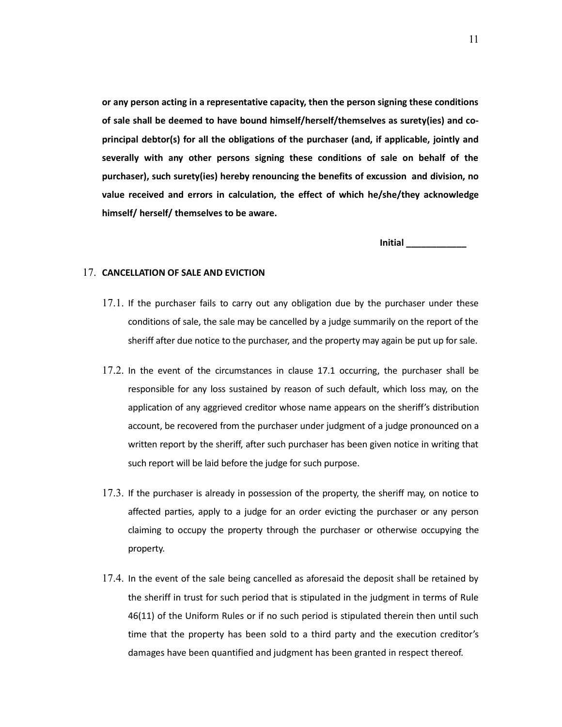or any person acting in a representative capacity, then the person signing these conditions of sale shall be deemed to have bound himself/herself/themselves as surety(ies) and coprincipal debtor(s) for all the obligations of the purchaser (and, if applicable, jointly and severally with any other persons signing these conditions of sale on behalf of the purchaser), such surety(ies) hereby renouncing the benefits of excussion and division, no value received and errors in calculation, the effect of which he/she/they acknowledge himself/ herself/ themselves to be aware.

Initial \_\_\_\_\_\_\_\_\_\_\_\_

#### 17. CANCELLATION OF SALE AND EVICTION

- 17.1. If the purchaser fails to carry out any obligation due by the purchaser under these conditions of sale, the sale may be cancelled by a judge summarily on the report of the sheriff after due notice to the purchaser, and the property may again be put up for sale.
- 17.2. In the event of the circumstances in clause 17.1 occurring, the purchaser shall be responsible for any loss sustained by reason of such default, which loss may, on the application of any aggrieved creditor whose name appears on the sheriff's distribution account, be recovered from the purchaser under judgment of a judge pronounced on a written report by the sheriff, after such purchaser has been given notice in writing that such report will be laid before the judge for such purpose.
- 17.3. If the purchaser is already in possession of the property, the sheriff may, on notice to affected parties, apply to a judge for an order evicting the purchaser or any person claiming to occupy the property through the purchaser or otherwise occupying the property.
- 17.4. In the event of the sale being cancelled as aforesaid the deposit shall be retained by the sheriff in trust for such period that is stipulated in the judgment in terms of Rule 46(11) of the Uniform Rules or if no such period is stipulated therein then until such time that the property has been sold to a third party and the execution creditor's damages have been quantified and judgment has been granted in respect thereof.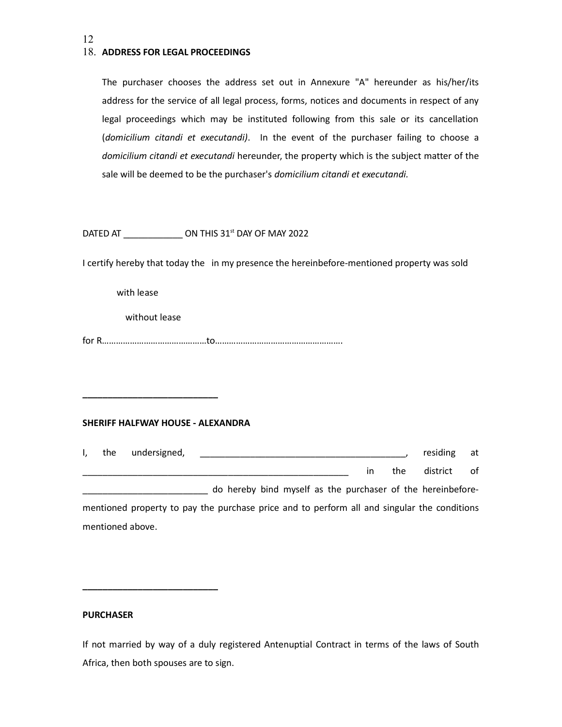## 18. ADDRESS FOR LEGAL PROCEEDINGS

The purchaser chooses the address set out in Annexure "A" hereunder as his/her/its address for the service of all legal process, forms, notices and documents in respect of any legal proceedings which may be instituted following from this sale or its cancellation (domicilium citandi et executandi). In the event of the purchaser failing to choose a domicilium citandi et executandi hereunder, the property which is the subject matter of the sale will be deemed to be the purchaser's domicilium citandi et executandi.

DATED AT  $\qquad$  ON THIS 31<sup>st</sup> DAY OF MAY 2022

I certify hereby that today the in my presence the hereinbefore-mentioned property was sold

with lease

without lease

\_\_\_\_\_\_\_\_\_\_\_\_\_\_\_\_\_\_\_\_\_\_\_\_\_\_\_

\_\_\_\_\_\_\_\_\_\_\_\_\_\_\_\_\_\_\_\_\_\_\_\_\_\_\_

for R………………………………………to……………………………………………….

#### SHERIFF HALFWAY HOUSE - ALEXANDRA

| the              | undersigned,                                                                                |                                                             |  |  |               |     | residing | at at |
|------------------|---------------------------------------------------------------------------------------------|-------------------------------------------------------------|--|--|---------------|-----|----------|-------|
|                  |                                                                                             |                                                             |  |  | $\mathsf{In}$ | the | district | of    |
|                  |                                                                                             | do hereby bind myself as the purchaser of the hereinbefore- |  |  |               |     |          |       |
|                  | mentioned property to pay the purchase price and to perform all and singular the conditions |                                                             |  |  |               |     |          |       |
| mentioned above. |                                                                                             |                                                             |  |  |               |     |          |       |

#### PURCHASER

If not married by way of a duly registered Antenuptial Contract in terms of the laws of South Africa, then both spouses are to sign.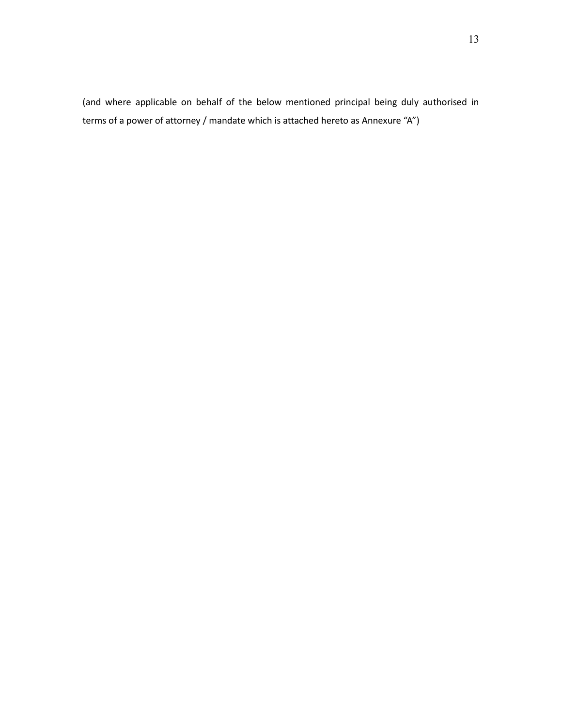(and where applicable on behalf of the below mentioned principal being duly authorised in terms of a power of attorney / mandate which is attached hereto as Annexure "A")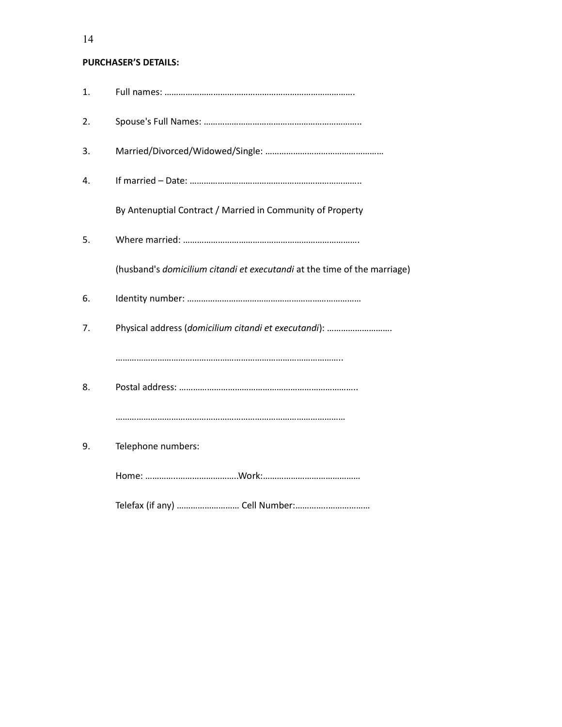# PURCHASER'S DETAILS:

| 1. |                                                                          |
|----|--------------------------------------------------------------------------|
| 2. |                                                                          |
| 3. |                                                                          |
| 4. |                                                                          |
|    | By Antenuptial Contract / Married in Community of Property               |
| 5. |                                                                          |
|    | (husband's domicilium citandi et executandi at the time of the marriage) |
| 6. |                                                                          |
| 7. | Physical address (domicilium citandi et executandi):                     |
|    |                                                                          |
| 8. |                                                                          |
|    |                                                                          |
| 9. | Telephone numbers:                                                       |
|    |                                                                          |
|    |                                                                          |

14